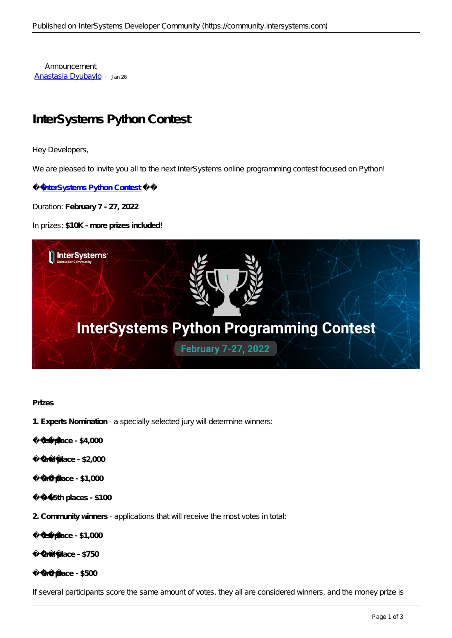Announcement [Anastasia Dyubaylo](https://community.intersystems.com/user/anastasia-dyubaylo) · Jan 26

# **InterSystems Python Contest**

Hey Developers,

We are pleased to invite you all to the next InterSystems online programming contest focused on Python!

**InterSystems Python Contest** 

Duration: **February 7 - 27, 2022**

In prizes: **\$10K** *- more prizes included!*



## **Prizes**

- **1. Experts Nomination** a specially selected jury will determine winners:
	- **1st place \$4,000**
	- **2nd place \$2,000**
	- **3rd place \$1,000**
	- **4-15th places \$100**
- **2. Community winners** applications that will receive the most votes in total:

**1st place - \$1,000**

**2nd place - \$750** 

**3rd place - \$500**

*If several participants score the same amount of votes, they all are considered winners, and the money prize is*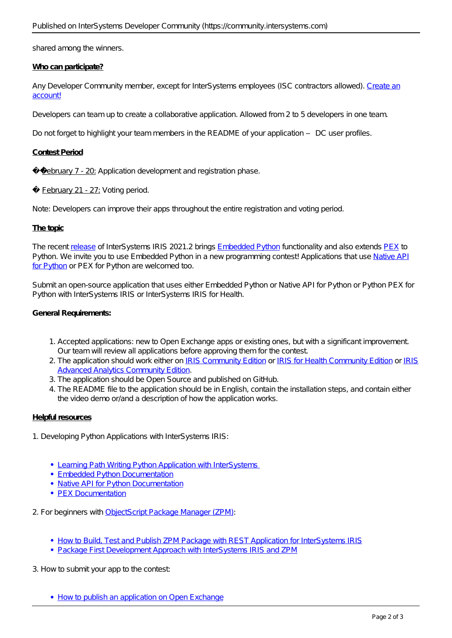*shared among the winners.* 

## **Who can participate?**

Any Developer Community member, except for InterSystems employees (ISC contractors allowed). [Create an](https://login.intersystems.com/login/SSO.UI.Register.cls?referrer=https%3A//community.intersystems.com/) [account!](https://login.intersystems.com/login/SSO.UI.Register.cls?referrer=https%3A//community.intersystems.com/)

Developers can team up to create a collaborative application. Allowed from 2 to 5 developers in one team.

*Do not forget to highlight your team members in the README of your application – DC user profiles.*

## **Contest Period**

*February 7 - 20:* Application development and registration phase.

✅ *February 21 - 27:* Voting period.

*Note: Developers can improve their apps throughout the entire registration and voting period.*

## **The topic**

The recent [release](https://community.intersystems.com/post/intersystems-iris-and-iris-health-20212-published) of InterSystems IRIS 2021.2 brings [Embedded Python](https://docs.intersystems.com/iris20212/csp/docbook/DocBook.UI.Page.cls?KEY=AFL_epython) functionality and also extends [PEX](https://docs.intersystems.com/irislatest/csp/docbook/DocBook.UI.Page.cls?KEY=EPEX) to Python. We invite you to use Embedded Python in a new programming contest! Applications that use [Native API](https://docs.intersystems.com/iris20212/csp/docbook/DocBook.UI.Page.cls?KEY=BPYNAT_intro) [for Python](https://docs.intersystems.com/iris20212/csp/docbook/DocBook.UI.Page.cls?KEY=BPYNAT_intro) or PEX for Python are welcomed too.

Submit an open-source application that uses either Embedded Python or Native API for Python or Python PEX for Python with InterSystems IRIS or InterSystems IRIS for Health.

## **General Requirements:**

- 1. Accepted applications: new to Open Exchange apps or existing ones, but with a significant improvement. Our team will review all applications before approving them for the contest.
- 2. The application should work either on [IRIS Community Edition](http://hub.docker.com/_/intersystems-iris-data-platform/plans/222f869e-567c-4928-b572-eb6a29706fbd?tab=instructions) or [IRIS for Health Community Edition](https://hub.docker.com/_/intersystems-iris-for-health/plans/80ae1325-d535-484e-8307-b643c2865dd8?tab=instructions) or [IRIS](https://hub.docker.com/_/intersystems-iris-data-platform/plans/222f869e-567c-4928-b572-eb6a29706fbd?tab=instructions) [Advanced Analytics Community Edition.](https://hub.docker.com/_/intersystems-iris-data-platform/plans/222f869e-567c-4928-b572-eb6a29706fbd?tab=instructions)
- 3. The application should be Open Source and published on GitHub.
- 4. The README file to the application should be in English, contain the installation steps, and contain either the video demo or/and a description of how the application works.

## **Helpful resources**

- 1. Developing Python Applications with InterSystems IRIS:
	- Learning Path Writing Python Application with InterSystems
	- **[Embedded Python Documentation](https://docs.intersystems.com/iris20212/csp/docbook/DocBook.UI.Page.cls?KEY=AFL_epython)**
	- [Native API for Python Documentation](https://docs.intersystems.com/iris20212/csp/docbook/DocBook.UI.Page.cls?KEY=BPYNAT_intro)
	- [PEX Documentation](https://docs.intersystems.com/irislatest/csp/docbook/DocBook.UI.Page.cls?KEY=EPEX)

2. For beginners with [ObjectScript Package Manager \(ZPM\):](https://openexchange.intersystems.com/package/ObjectScript-Package-Manager)

- [How to Build, Test and Publish ZPM Package with REST Application for InterSystems IRIS](https://youtu.be/NVEOe-F5O80)
- [Package First Development Approach with InterSystems IRIS and ZPM](https://youtu.be/havPyPbUj1I)

3. How to submit your app to the contest:

• [How to publish an application on Open Exchange](https://youtu.be/DBh79bCayh4)